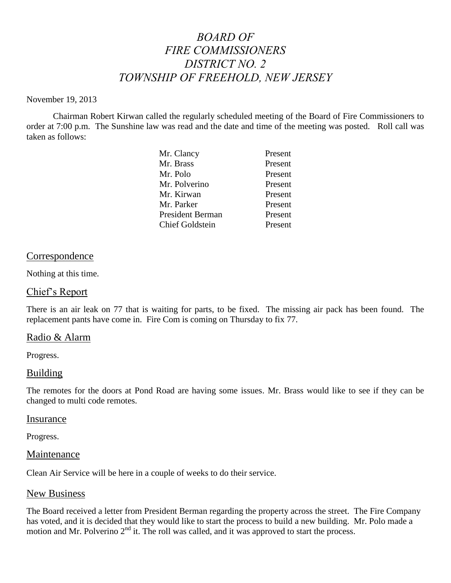# *BOARD OF FIRE COMMISSIONERS DISTRICT NO. 2 TOWNSHIP OF FREEHOLD, NEW JERSEY*

#### November 19, 2013

Chairman Robert Kirwan called the regularly scheduled meeting of the Board of Fire Commissioners to order at 7:00 p.m. The Sunshine law was read and the date and time of the meeting was posted. Roll call was taken as follows:

| Mr. Clancy              | Present |
|-------------------------|---------|
| Mr. Brass               | Present |
| Mr. Polo                | Present |
| Mr. Polverino           | Present |
| Mr. Kirwan              | Present |
| Mr. Parker              | Present |
| <b>President Berman</b> | Present |
| <b>Chief Goldstein</b>  | Present |

## Correspondence

Nothing at this time.

#### Chief's Report

There is an air leak on 77 that is waiting for parts, to be fixed. The missing air pack has been found. The replacement pants have come in. Fire Com is coming on Thursday to fix 77.

## Radio & Alarm

Progress.

#### Building

The remotes for the doors at Pond Road are having some issues. Mr. Brass would like to see if they can be changed to multi code remotes.

#### Insurance

Progress.

#### Maintenance

Clean Air Service will be here in a couple of weeks to do their service.

#### New Business

The Board received a letter from President Berman regarding the property across the street. The Fire Company has voted, and it is decided that they would like to start the process to build a new building. Mr. Polo made a motion and Mr. Polverino 2<sup>nd</sup> it. The roll was called, and it was approved to start the process.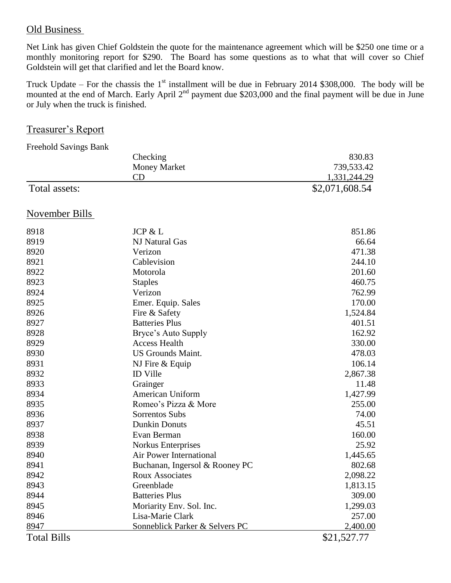# Old Business

Net Link has given Chief Goldstein the quote for the maintenance agreement which will be \$250 one time or a monthly monitoring report for \$290. The Board has some questions as to what that will cover so Chief Goldstein will get that clarified and let the Board know.

Truck Update – For the chassis the  $1<sup>st</sup>$  installment will be due in February 2014 \$308,000. The body will be mounted at the end of March. Early April  $2<sup>nd</sup>$  payment due \$203,000 and the final payment will be due in June or July when the truck is finished.

# Treasurer's Report

| <b>Freehold Savings Bank</b> |                                |                |
|------------------------------|--------------------------------|----------------|
|                              | Checking                       | 830.83         |
|                              | <b>Money Market</b>            | 739,533.42     |
|                              | CD                             | 1,331,244.29   |
| Total assets:                |                                | \$2,071,608.54 |
| <b>November Bills</b>        |                                |                |
| 8918                         | JCP & L                        | 851.86         |
| 8919                         | <b>NJ Natural Gas</b>          | 66.64          |
| 8920                         | Verizon                        | 471.38         |
| 8921                         | Cablevision                    | 244.10         |
| 8922                         | Motorola                       | 201.60         |
| 8923                         | <b>Staples</b>                 | 460.75         |
| 8924                         | Verizon                        | 762.99         |
| 8925                         | Emer. Equip. Sales             | 170.00         |
| 8926                         | Fire & Safety                  | 1,524.84       |
| 8927                         | <b>Batteries Plus</b>          | 401.51         |
| 8928                         | Bryce's Auto Supply            | 162.92         |
| 8929                         | <b>Access Health</b>           | 330.00         |
| 8930                         | <b>US Grounds Maint.</b>       | 478.03         |
| 8931                         | NJ Fire & Equip                | 106.14         |
| 8932                         | <b>ID Ville</b>                | 2,867.38       |
| 8933                         | Grainger                       | 11.48          |
| 8934                         | American Uniform               | 1,427.99       |
| 8935                         | Romeo's Pizza & More           | 255.00         |
| 8936                         | Sorrentos Subs                 | 74.00          |
| 8937                         | <b>Dunkin Donuts</b>           | 45.51          |
| 8938                         | Evan Berman                    | 160.00         |
| 8939                         | <b>Norkus Enterprises</b>      | 25.92          |
| 8940                         | Air Power International        | 1,445.65       |
| 8941                         | Buchanan, Ingersol & Rooney PC | 802.68         |
| 8942                         | <b>Roux Associates</b>         | 2,098.22       |
| 8943                         | Greenblade                     | 1,813.15       |
| 8944                         | <b>Batteries Plus</b>          | 309.00         |
| 8945                         | Moriarity Env. Sol. Inc.       | 1,299.03       |
| 8946                         | Lisa-Marie Clark               | 257.00         |
| 8947                         | Sonneblick Parker & Selvers PC | 2,400.00       |

Total Bills \$21,527.77